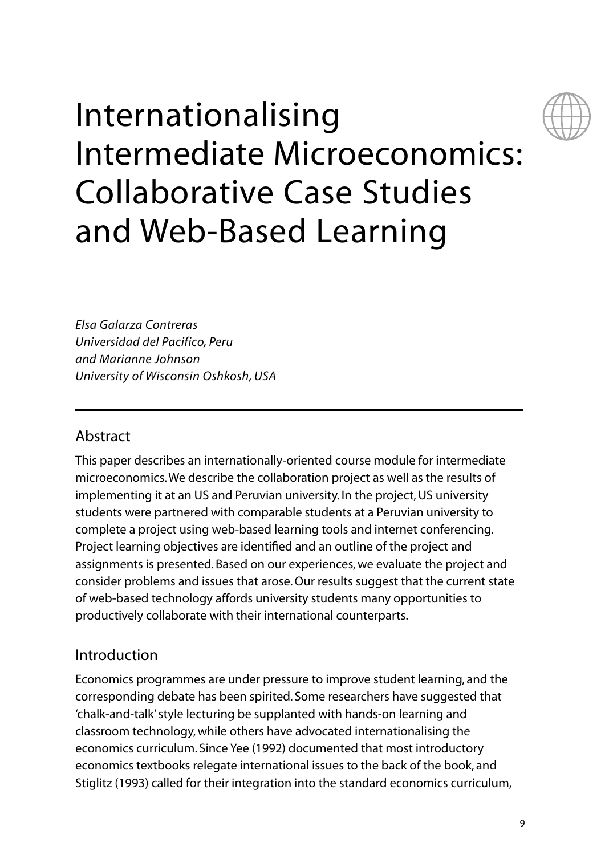

# Internationalising Intermediate Microeconomics: Collaborative Case Studies and Web-Based Learning

*Elsa Galarza Contreras Universidad del Pacifico, Peru and Marianne Johnson University of Wisconsin Oshkosh, USA*

## **Abstract**

This paper describes an internationally-oriented course module for intermediate microeconomics.We describe the collaboration project as well as the results of implementing it at an US and Peruvian university. In the project, US university students were partnered with comparable students at a Peruvian university to complete a project using web-based learning tools and internet conferencing. Project learning objectives are identified and an outline of the project and assignments is presented. Based on our experiences, we evaluate the project and consider problems and issues that arose. Our results suggest that the current state of web-based technology affords university students many opportunities to productively collaborate with their international counterparts.

# Introduction

Economics programmes are under pressure to improve student learning, and the corresponding debate has been spirited. Some researchers have suggested that 'chalk-and-talk' style lecturing be supplanted with hands-on learning and classroom technology, while others have advocated internationalising the economics curriculum. Since Yee (1992) documented that most introductory economics textbooks relegate international issues to the back of the book, and Stiglitz (1993) called for their integration into the standard economics curriculum,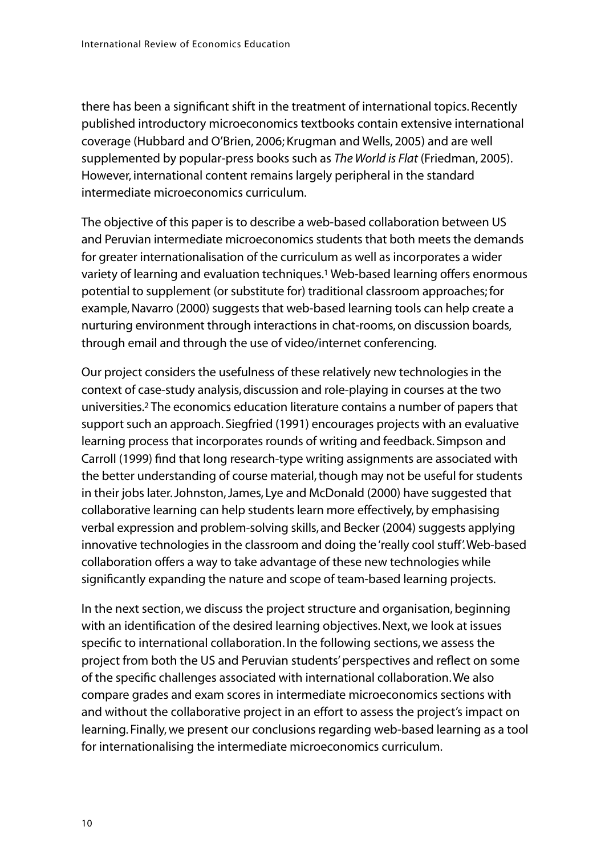there has been a significant shift in the treatment of international topics. Recently published introductory microeconomics textbooks contain extensive international coverage (Hubbard and O'Brien, 2006; Krugman and Wells, 2005) and are well supplemented by popular-press books such as *The World is Flat* (Friedman, 2005). However, international content remains largely peripheral in the standard intermediate microeconomics curriculum.

The objective of this paper is to describe a web-based collaboration between US and Peruvian intermediate microeconomics students that both meets the demands for greater internationalisation of the curriculum as well as incorporates a wider variety of learning and evaluation techniques.1 Web-based learning offers enormous potential to supplement (or substitute for) traditional classroom approaches; for example, Navarro (2000) suggests that web-based learning tools can help create a nurturing environment through interactions in chat-rooms, on discussion boards, through email and through the use of video/internet conferencing.

Our project considers the usefulness of these relatively new technologies in the context of case-study analysis, discussion and role-playing in courses at the two universities.2 The economics education literature contains a number of papers that support such an approach. Siegfried (1991) encourages projects with an evaluative learning process that incorporates rounds of writing and feedback. Simpson and Carroll (1999) find that long research-type writing assignments are associated with the better understanding of course material, though may not be useful for students in their jobs later. Johnston, James, Lye and McDonald (2000) have suggested that collaborative learning can help students learn more effectively, by emphasising verbal expression and problem-solving skills, and Becker (2004) suggests applying innovative technologies in the classroom and doing the 'really cool stuff'.Web-based collaboration offers a way to take advantage of these new technologies while significantly expanding the nature and scope of team-based learning projects.

In the next section, we discuss the project structure and organisation, beginning with an identification of the desired learning objectives.Next, we look at issues specific to international collaboration. In the following sections, we assess the project from both the US and Peruvian students' perspectives and reflect on some of the specific challenges associated with international collaboration.We also compare grades and exam scores in intermediate microeconomics sections with and without the collaborative project in an effort to assess the project's impact on learning. Finally, we present our conclusions regarding web-based learning as a tool for internationalising the intermediate microeconomics curriculum.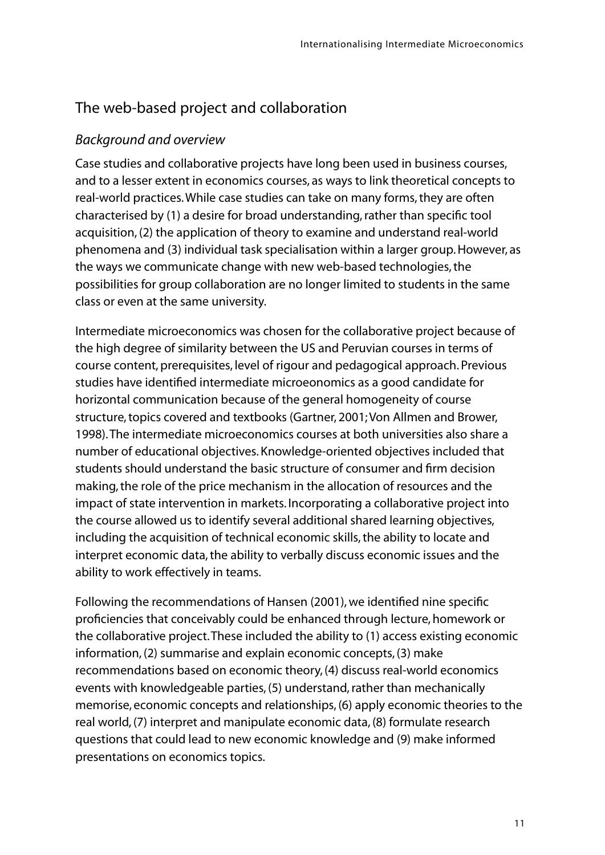# The web-based project and collaboration

#### *Background and overview*

Case studies and collaborative projects have long been used in business courses, and to a lesser extent in economics courses, as ways to link theoretical concepts to real-world practices.While case studies can take on many forms, they are often characterised by (1) a desire for broad understanding, rather than specific tool acquisition, (2) the application of theory to examine and understand real-world phenomena and (3) individual task specialisation within a larger group. However, as the ways we communicate change with new web-based technologies, the possibilities for group collaboration are no longer limited to students in the same class or even at the same university.

Intermediate microeconomics was chosen for the collaborative project because of the high degree of similarity between the US and Peruvian courses in terms of course content, prerequisites, level of rigour and pedagogical approach. Previous studies have identified intermediate microeonomics as a good candidate for horizontal communication because of the general homogeneity of course structure, topics covered and textbooks (Gartner, 2001; Von Allmen and Brower, 1998).The intermediate microeconomics courses at both universities also share a number of educational objectives. Knowledge-oriented objectives included that students should understand the basic structure of consumer and firm decision making, the role of the price mechanism in the allocation of resources and the impact of state intervention in markets. Incorporating a collaborative project into the course allowed us to identify several additional shared learning objectives, including the acquisition of technical economic skills, the ability to locate and interpret economic data, the ability to verbally discuss economic issues and the ability to work effectively in teams.

Following the recommendations of Hansen (2001), we identified nine specific proficiencies that conceivably could be enhanced through lecture, homework or the collaborative project.These included the ability to (1) access existing economic information, (2) summarise and explain economic concepts, (3) make recommendations based on economic theory, (4) discuss real-world economics events with knowledgeable parties, (5) understand, rather than mechanically memorise, economic concepts and relationships, (6) apply economic theories to the real world, (7) interpret and manipulate economic data, (8) formulate research questions that could lead to new economic knowledge and (9) make informed presentations on economics topics.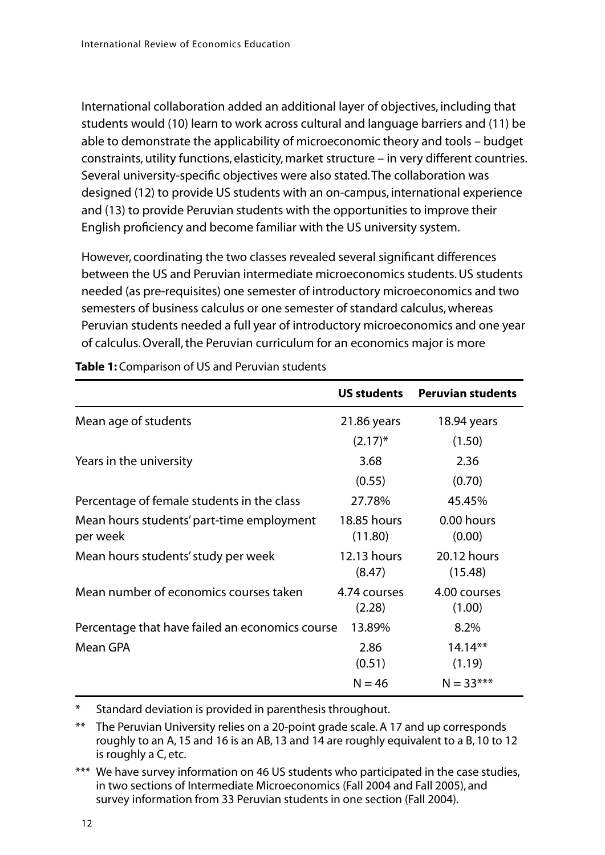International collaboration added an additional layer of objectives, including that students would (10) learn to work across cultural and language barriers and (11) be able to demonstrate the applicability of microeconomic theory and tools – budget constraints, utility functions, elasticity, market structure – in very different countries. Several university-specific objectives were also stated.The collaboration was designed (12) to provide US students with an on-campus, international experience and (13) to provide Peruvian students with the opportunities to improve their English proficiency and become familiar with the US university system.

However, coordinating the two classes revealed several significant differences between the US and Peruvian intermediate microeconomics students. US students needed (as pre-requisites) one semester of introductory microeconomics and two semesters of business calculus or one semester of standard calculus, whereas Peruvian students needed a full year of introductory microeconomics and one year of calculus. Overall, the Peruvian curriculum for an economics major is more

|                                                       | <b>US students</b>     | <b>Peruvian students</b> |
|-------------------------------------------------------|------------------------|--------------------------|
| Mean age of students                                  | 21.86 years            | 18.94 years              |
|                                                       | $(2.17)^{*}$           | (1.50)                   |
| Years in the university                               | 3.68                   | 2.36                     |
|                                                       | (0.55)                 | (0.70)                   |
| Percentage of female students in the class            | 27.78%                 | 45.45%                   |
| Mean hours students' part-time employment<br>per week | 18.85 hours<br>(11.80) | 0.00 hours<br>(0.00)     |
| Mean hours students' study per week                   | 12.13 hours<br>(8.47)  | 20.12 hours<br>(15.48)   |
| Mean number of economics courses taken                | 4.74 courses<br>(2.28) | 4.00 courses<br>(1.00)   |
| Percentage that have failed an economics course       | 13.89%                 | 8.2%                     |
| Mean GPA                                              | 2.86<br>(0.51)         | $14.14**$<br>(1.19)      |
|                                                       | $N = 46$               | $N = 33***$              |

#### **Table 1:** Comparison of US and Peruvian students

Standard deviation is provided in parenthesis throughout.

\*\* The Peruvian University relies on a 20-point grade scale. A 17 and up corresponds roughly to an A, 15 and 16 is an AB, 13 and 14 are roughly equivalent to a B, 10 to 12 is roughly a C, etc.

\*\*\* We have survey information on 46 US students who participated in the case studies, in two sections of Intermediate Microeconomics (Fall 2004 and Fall 2005), and survey information from 33 Peruvian students in one section (Fall 2004).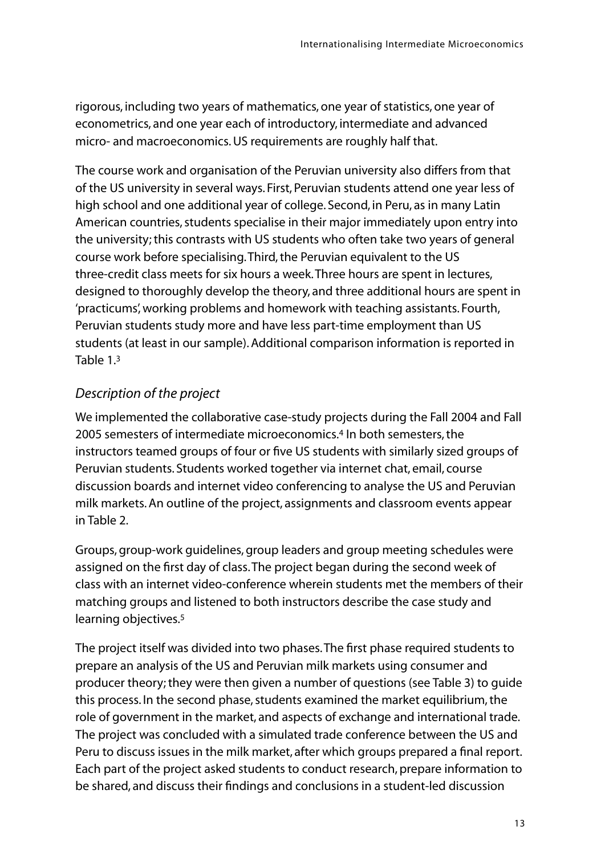rigorous, including two years of mathematics, one year of statistics, one year of econometrics, and one year each of introductory, intermediate and advanced micro- and macroeconomics. US requirements are roughly half that.

The course work and organisation of the Peruvian university also differs from that of the US university in several ways. First, Peruvian students attend one year less of high school and one additional year of college. Second, in Peru, as in many Latin American countries, students specialise in their major immediately upon entry into the university; this contrasts with US students who often take two years of general course work before specialising.Third, the Peruvian equivalent to the US three-credit class meets for six hours a week.Three hours are spent in lectures, designed to thoroughly develop the theory, and three additional hours are spent in 'practicums', working problems and homework with teaching assistants. Fourth, Peruvian students study more and have less part-time employment than US students (at least in our sample). Additional comparison information is reported in Table 1.3

## *Description of the project*

We implemented the collaborative case-study projects during the Fall 2004 and Fall 2005 semesters of intermediate microeconomics.4 In both semesters, the instructors teamed groups of four or five US students with similarly sized groups of Peruvian students. Students worked together via internet chat, email, course discussion boards and internet video conferencing to analyse the US and Peruvian milk markets.An outline of the project, assignments and classroom events appear in Table 2.

Groups, group-work guidelines, group leaders and group meeting schedules were assigned on the first day of class.The project began during the second week of class with an internet video-conference wherein students met the members of their matching groups and listened to both instructors describe the case study and learning objectives. 5

The project itself was divided into two phases.The first phase required students to prepare an analysis of the US and Peruvian milk markets using consumer and producer theory; they were then given a number of questions (see Table 3) to guide this process. In the second phase, students examined the market equilibrium, the role of government in the market, and aspects of exchange and international trade. The project was concluded with a simulated trade conference between the US and Peru to discuss issues in the milk market, after which groups prepared a final report. Each part of the project asked students to conduct research, prepare information to be shared, and discuss their findings and conclusions in a student-led discussion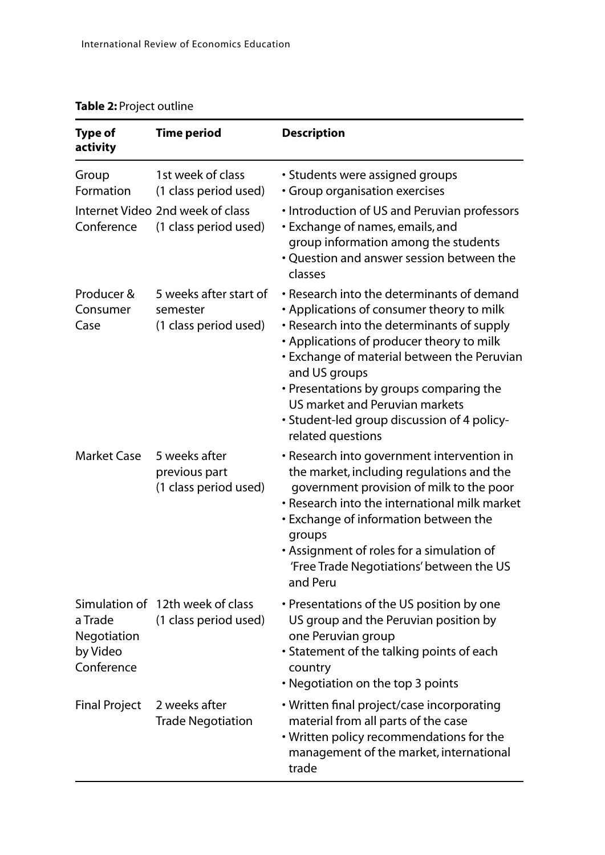|  |  |  | Table 2: Project outline |
|--|--|--|--------------------------|
|--|--|--|--------------------------|

| <b>Type of</b><br>activity                       | <b>Time period</b>                                                                                      | <b>Description</b>                                                                                                                                                                                                                                                                                                                                                                                  |
|--------------------------------------------------|---------------------------------------------------------------------------------------------------------|-----------------------------------------------------------------------------------------------------------------------------------------------------------------------------------------------------------------------------------------------------------------------------------------------------------------------------------------------------------------------------------------------------|
| Group<br>Formation<br>Conference                 | 1st week of class<br>(1 class period used)<br>Internet Video 2nd week of class<br>(1 class period used) | · Students were assigned groups<br>· Group organisation exercises<br>• Introduction of US and Peruvian professors<br>• Exchange of names, emails, and<br>group information among the students<br>• Ouestion and answer session between the<br>classes                                                                                                                                               |
| Producer &<br>Consumer<br>Case                   | 5 weeks after start of<br>semester<br>(1 class period used)                                             | • Research into the determinants of demand<br>• Applications of consumer theory to milk<br>• Research into the determinants of supply<br>• Applications of producer theory to milk<br>• Exchange of material between the Peruvian<br>and US groups<br>• Presentations by groups comparing the<br>US market and Peruvian markets<br>• Student-led group discussion of 4 policy-<br>related questions |
| <b>Market Case</b>                               | 5 weeks after<br>previous part<br>(1 class period used)                                                 | · Research into government intervention in<br>the market, including regulations and the<br>government provision of milk to the poor<br>• Research into the international milk market<br>• Exchange of information between the<br>groups<br>• Assignment of roles for a simulation of<br>'Free Trade Negotiations' between the US<br>and Peru                                                        |
| a Trade<br>Negotiation<br>by Video<br>Conference | Simulation of 12th week of class<br>(1 class period used)                                               | • Presentations of the US position by one<br>US group and the Peruvian position by<br>one Peruvian group<br>• Statement of the talking points of each<br>country<br>• Negotiation on the top 3 points                                                                                                                                                                                               |
| <b>Final Project</b>                             | 2 weeks after<br><b>Trade Negotiation</b>                                                               | • Written final project/case incorporating<br>material from all parts of the case<br>• Written policy recommendations for the<br>management of the market, international<br>trade                                                                                                                                                                                                                   |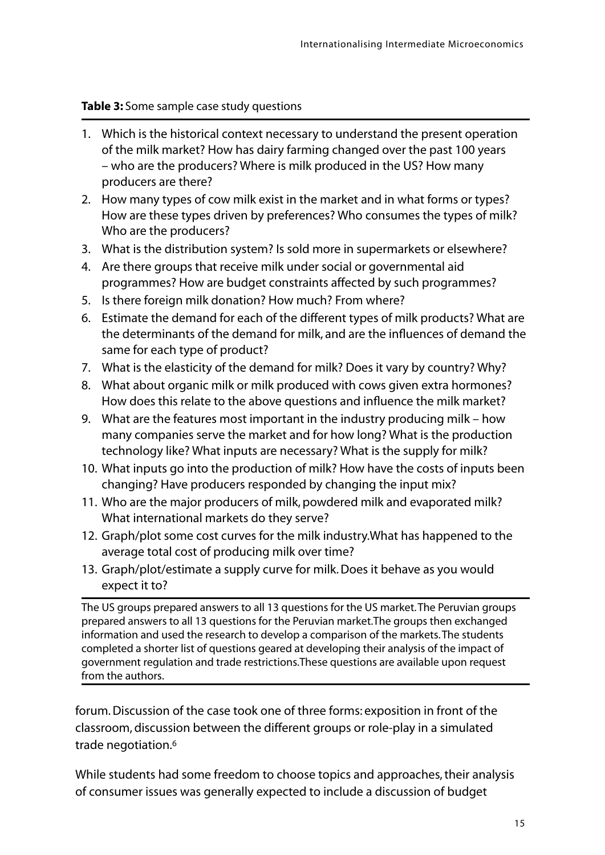#### **Table 3:** Some sample case study questions

- 1. Which is the historical context necessary to understand the present operation of the milk market? How has dairy farming changed over the past 100 years – who are the producers? Where is milk produced in the US? How many producers are there?
- 2. How many types of cow milk exist in the market and in what forms or types? How are these types driven by preferences? Who consumes the types of milk? Who are the producers?
- 3. What is the distribution system? Is sold more in supermarkets or elsewhere?
- 4. Are there groups that receive milk under social or governmental aid programmes? How are budget constraints affected by such programmes?
- 5. Is there foreign milk donation? How much? From where?
- 6. Estimate the demand for each of the different types of milk products? What are the determinants of the demand for milk, and are the influences of demand the same for each type of product?
- 7. What is the elasticity of the demand for milk? Does it vary by country? Why?
- 8. What about organic milk or milk produced with cows given extra hormones? How does this relate to the above questions and influence the milk market?
- 9. What are the features most important in the industry producing milk how many companies serve the market and for how long? What is the production technology like? What inputs are necessary? What is the supply for milk?
- 10. What inputs go into the production of milk? How have the costs of inputs been changing? Have producers responded by changing the input mix?
- 11. Who are the major producers of milk, powdered milk and evaporated milk? What international markets do they serve?
- 12. Graph/plot some cost curves for the milk industry.What has happened to the average total cost of producing milk over time?
- 13. Graph/plot/estimate a supply curve for milk. Does it behave as you would expect it to?

The US groups prepared answers to all 13 questions for the US market.The Peruvian groups prepared answers to all 13 questions for the Peruvian market.The groups then exchanged information and used the research to develop a comparison of the markets.The students completed a shorter list of questions geared at developing their analysis of the impact of government regulation and trade restrictions.These questions are available upon request from the authors.

forum. Discussion of the case took one of three forms: exposition in front of the classroom, discussion between the different groups or role-play in a simulated trade negotiation.<sup>6</sup>

While students had some freedom to choose topics and approaches, their analysis of consumer issues was generally expected to include a discussion of budget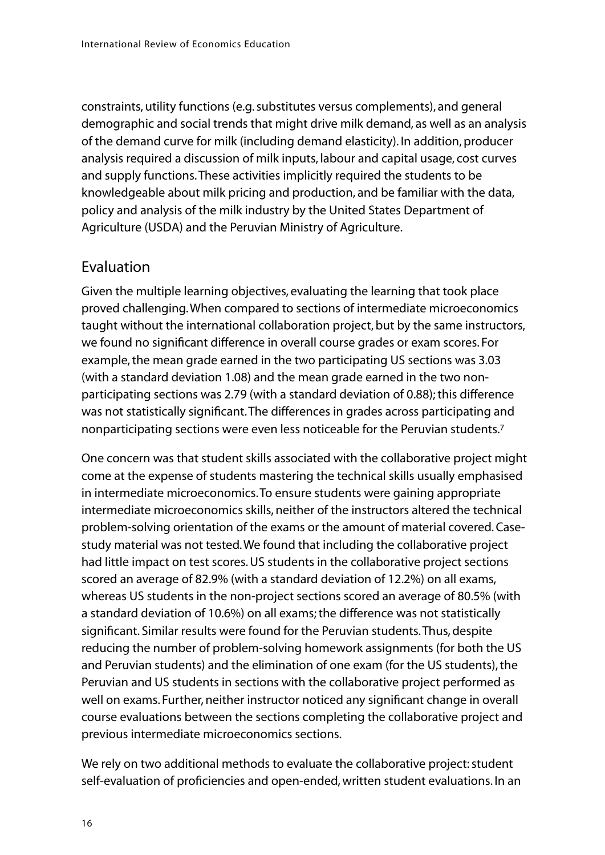constraints, utility functions (e.g. substitutes versus complements), and general demographic and social trends that might drive milk demand, as well as an analysis of the demand curve for milk (including demand elasticity). In addition, producer analysis required a discussion of milk inputs, labour and capital usage, cost curves and supply functions.These activities implicitly required the students to be knowledgeable about milk pricing and production, and be familiar with the data, policy and analysis of the milk industry by the United States Department of Agriculture (USDA) and the Peruvian Ministry of Agriculture.

## Evaluation

Given the multiple learning objectives, evaluating the learning that took place proved challenging.When compared to sections of intermediate microeconomics taught without the international collaboration project, but by the same instructors, we found no significant difference in overall course grades or exam scores. For example,the mean grade earned in the two participating US sections was 3.03 (with a standard deviation 1.08) and the mean grade earned in the two nonparticipating sections was 2.79 (with a standard deviation of 0.88); this difference was not statistically significant.The differences in grades across participating and nonparticipating sections were even less noticeable for the Peruvian students.7

One concern was that student skills associated with the collaborative project might come at the expense of students mastering the technical skills usually emphasised in intermediate microeconomics.To ensure students were gaining appropriate intermediate microeconomics skills, neither of the instructors altered the technical problem-solving orientation of the exams or the amount of material covered. Casestudy material was not tested.We found that including the collaborative project had little impact on test scores. US students in the collaborative project sections scored an average of 82.9% (with a standard deviation of 12.2%) on all exams, whereas US students in the non-project sections scored an average of 80.5% (with a standard deviation of 10.6%) on all exams; the difference was not statistically significant. Similar results were found for the Peruvian students.Thus, despite reducing the number of problem-solving homework assignments (for both the US and Peruvian students) and the elimination of one exam (for the US students), the Peruvian and US students in sections with the collaborative project performed as well on exams. Further, neither instructor noticed any significant change in overall course evaluations between the sections completing the collaborative project and previous intermediate microeconomics sections.

We rely on two additional methods to evaluate the collaborative project: student self-evaluation of proficiencies and open-ended, written student evaluations. In an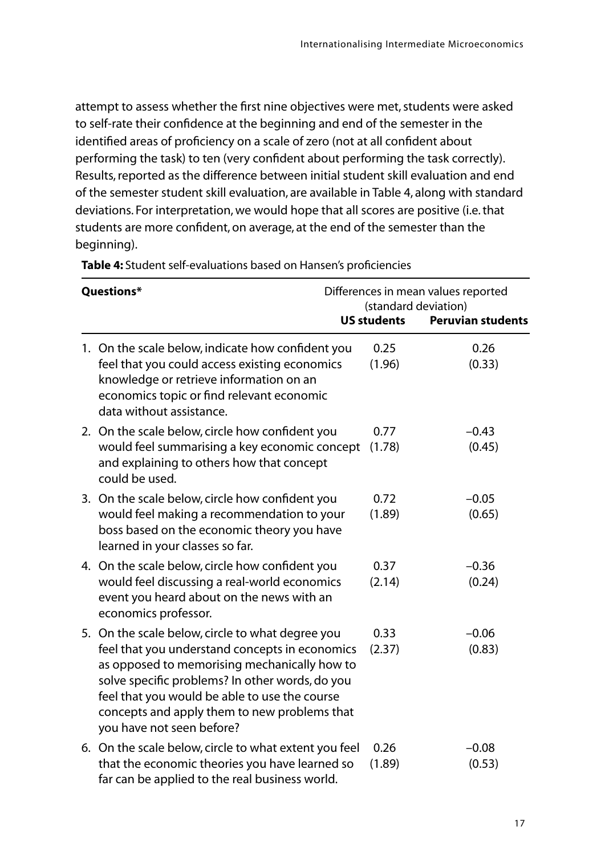attempt to assess whether the first nine objectives were met, students were asked to self-rate their confidence at the beginning and end of the semester in the identified areas of proficiency on a scale of zero (not at all confident about performing the task) to ten (very confident about performing the task correctly). Results, reported as the difference between initial student skill evaluation and end of the semester student skill evaluation, are available in Table 4, along with standard deviations. For interpretation, we would hope that all scores are positive (i.e. that students are more confident, on average, at the end of the semester than the beginning).

| <b>Questions*</b> |                                                                                                                                                                                                                                                                                                                                     | Differences in mean values reported<br>(standard deviation)<br><b>Peruvian students</b><br><b>US students</b> |                   |  |
|-------------------|-------------------------------------------------------------------------------------------------------------------------------------------------------------------------------------------------------------------------------------------------------------------------------------------------------------------------------------|---------------------------------------------------------------------------------------------------------------|-------------------|--|
|                   | 1. On the scale below, indicate how confident you<br>feel that you could access existing economics<br>knowledge or retrieve information on an<br>economics topic or find relevant economic<br>data without assistance.                                                                                                              | 0.25<br>(1.96)                                                                                                | 0.26<br>(0.33)    |  |
|                   | 2. On the scale below, circle how confident you<br>would feel summarising a key economic concept<br>and explaining to others how that concept<br>could be used.                                                                                                                                                                     | 0.77<br>(1.78)                                                                                                | $-0.43$<br>(0.45) |  |
|                   | 3. On the scale below, circle how confident you<br>would feel making a recommendation to your<br>boss based on the economic theory you have<br>learned in your classes so far.                                                                                                                                                      | 0.72<br>(1.89)                                                                                                | $-0.05$<br>(0.65) |  |
|                   | 4. On the scale below, circle how confident you<br>would feel discussing a real-world economics<br>event you heard about on the news with an<br>economics professor.                                                                                                                                                                | 0.37<br>(2.14)                                                                                                | $-0.36$<br>(0.24) |  |
|                   | 5. On the scale below, circle to what degree you<br>feel that you understand concepts in economics<br>as opposed to memorising mechanically how to<br>solve specific problems? In other words, do you<br>feel that you would be able to use the course<br>concepts and apply them to new problems that<br>you have not seen before? | 0.33<br>(2.37)                                                                                                | $-0.06$<br>(0.83) |  |
|                   | 6. On the scale below, circle to what extent you feel<br>that the economic theories you have learned so<br>far can be applied to the real business world.                                                                                                                                                                           | 0.26<br>(1.89)                                                                                                | $-0.08$<br>(0.53) |  |

**Table 4:** Student self-evaluations based on Hansen's proficiencies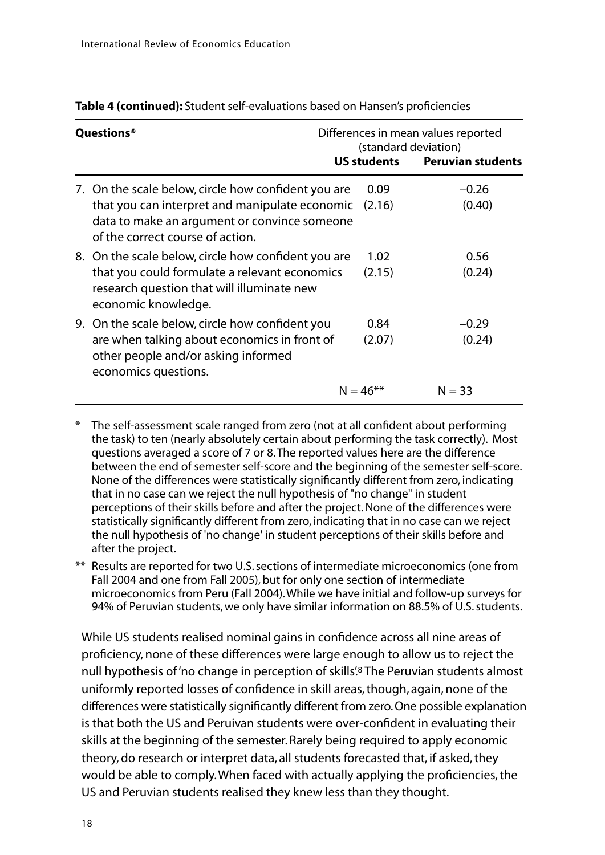| Questions* |                                                                                                                                                                                           | Differences in mean values reported<br>(standard deviation)<br><b>US students</b> |                | <b>Peruvian students</b> |
|------------|-------------------------------------------------------------------------------------------------------------------------------------------------------------------------------------------|-----------------------------------------------------------------------------------|----------------|--------------------------|
|            | 7. On the scale below, circle how confident you are<br>that you can interpret and manipulate economic<br>data to make an argument or convince someone<br>of the correct course of action. |                                                                                   | 0.09<br>(2.16) | $-0.26$<br>(0.40)        |
|            | 8. On the scale below, circle how confident you are<br>that you could formulate a relevant economics<br>research question that will illuminate new<br>economic knowledge.                 |                                                                                   | 1.02<br>(2.15) | 0.56<br>(0.24)           |
|            | 9. On the scale below, circle how confident you<br>are when talking about economics in front of<br>other people and/or asking informed<br>economics questions.                            |                                                                                   | 0.84<br>(2.07) | $-0.29$<br>(0.24)        |
|            |                                                                                                                                                                                           |                                                                                   | $N = 46$ **    | $N = 33$                 |

#### **Table 4 (continued):** Student self-evaluations based on Hansen's proficiencies

\* The self-assessment scale ranged from zero (not at all confident about performing the task) to ten (nearly absolutely certain about performing the task correctly). Most questions averaged a score of 7 or 8.The reported values here are the difference between the end of semester self-score and the beginning of the semester self-score. None of the differences were statistically significantly different from zero, indicating that in no case can we reject the null hypothesis of "no change" in student perceptions of their skills before and after the project. None of the differences were statistically significantly different from zero, indicating that in no case can we reject the null hypothesis of 'no change' in student perceptions of their skills before and after the project.

\*\* Results are reported for two U.S. sections of intermediate microeconomics (one from Fall 2004 and one from Fall 2005), but for only one section of intermediate microeconomics from Peru (Fall 2004).While we have initial and follow-up surveys for 94% of Peruvian students, we only have similar information on 88.5% of U.S. students.

While US students realised nominal gains in confidence across all nine areas of proficiency, none of these differences were large enough to allow us to reject the null hypothesis of 'no change in perception of skills.'<sup>8</sup> The Peruvian students almost uniformly reported losses of confidence in skill areas, though, again, none of the differences were statistically significantly different from zero. One possible explanation is that both the US and Peruivan students were over-confident in evaluating their skills at the beginning of the semester. Rarely being required to apply economic theory, do research or interpret data, all students forecasted that, if asked, they would be able to comply.When faced with actually applying the proficiencies, the US and Peruvian students realised they knew less than they thought.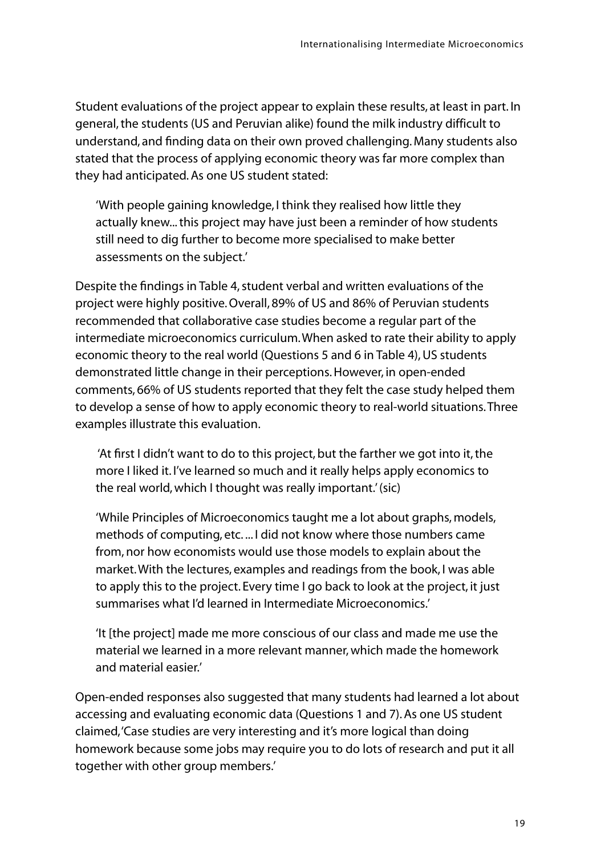Student evaluations of the project appear to explain these results, at least in part. In general, the students (US and Peruvian alike) found the milk industry difficult to understand, and finding data on their own proved challenging. Many students also stated that the process of applying economic theory was far more complex than they had anticipated. As one US student stated:

'With people gaining knowledge, I think they realised how little they actually knew... this project may have just been a reminder of how students still need to dig further to become more specialised to make better assessments on the subject.'

Despite the findings in Table 4, student verbal and written evaluations of the project were highly positive. Overall, 89% of US and 86% of Peruvian students recommended that collaborative case studies become a regular part of the intermediate microeconomics curriculum.When asked to rate their ability to apply economic theory to the real world (Questions 5 and 6 in Table 4), US students demonstrated little change in their perceptions. However, in open-ended comments, 66% of US students reported that they felt the case study helped them to develop a sense of how to apply economic theory to real-world situations.Three examples illustrate this evaluation.

'At first I didn't want to do to this project, but the farther we got into it, the more I liked it. I've learned so much and it really helps apply economics to the real world, which I thought was really important.' (sic)

'While Principles of Microeconomics taught me a lot about graphs, models, methods of computing, etc. ... I did not know where those numbers came from, nor how economists would use those models to explain about the market.With the lectures, examples and readings from the book, I was able to apply this to the project. Every time I go back to look at the project, it just summarises what I'd learned in Intermediate Microeconomics.'

'It [the project] made me more conscious of our class and made me use the material we learned in a more relevant manner, which made the homework and material easier'

Open-ended responses also suggested that many students had learned a lot about accessing and evaluating economic data (Questions 1 and 7). As one US student claimed,'Case studies are very interesting and it's more logical than doing homework because some jobs may require you to do lots of research and put it all together with other group members.'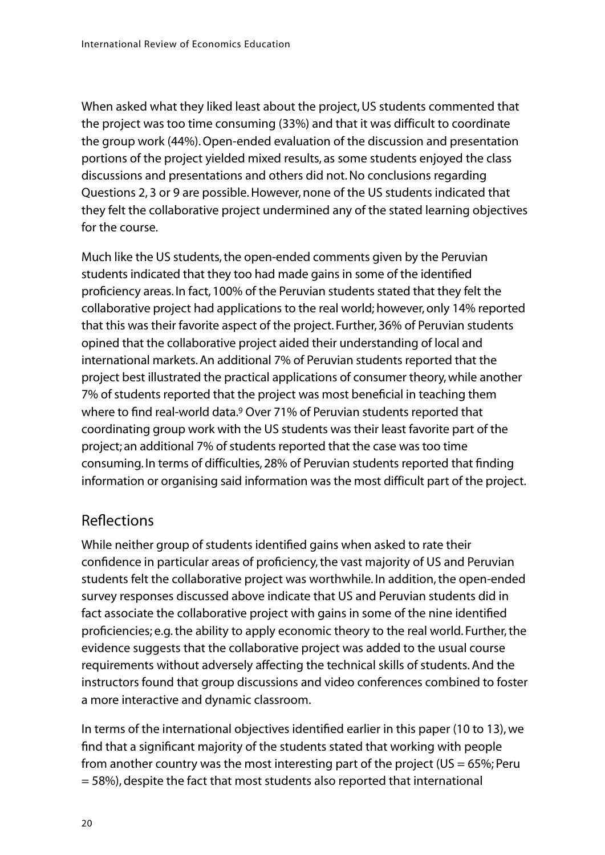When asked what they liked least about the project, US students commented that the project was too time consuming (33%) and that it was difficult to coordinate the group work (44%). Open-ended evaluation of the discussion and presentation portions of the project yielded mixed results, as some students enjoyed the class discussions and presentations and others did not. No conclusions regarding Questions 2, 3 or 9 are possible. However, none of the US students indicated that they felt the collaborative project undermined any of the stated learning objectives for the course.

Much like the US students, the open-ended comments given by the Peruvian students indicated that they too had made gains in some of the identified proficiency areas. In fact, 100% of the Peruvian students stated that they felt the collaborative project had applications to the real world; however, only 14% reported that this was their favorite aspect of the project. Further, 36% of Peruvian students opined that the collaborative project aided their understanding of local and international markets. An additional 7% of Peruvian students reported that the project best illustrated the practical applications of consumer theory, while another 7% of students reported that the project was most beneficial in teaching them where to find real-world data.<sup>9</sup> Over 71% of Peruvian students reported that coordinating group work with the US students was their least favorite part of the project; an additional 7% of students reported that the case was too time consuming. In terms of difficulties, 28% of Peruvian students reported that finding information or organising said information was the most difficult part of the project.

# Reflections

While neither group of students identified gains when asked to rate their confidence in particular areas of proficiency, the vast majority of US and Peruvian students felt the collaborative project was worthwhile. In addition, the open-ended survey responses discussed above indicate that US and Peruvian students did in fact associate the collaborative project with gains in some of the nine identified proficiencies; e.g. the ability to apply economic theory to the real world. Further, the evidence suggests that the collaborative project was added to the usual course requirements without adversely affecting the technical skills of students. And the instructors found that group discussions and video conferences combined to foster a more interactive and dynamic classroom.

In terms of the international objectives identified earlier in this paper (10 to 13), we find that a significant majority of the students stated that working with people from another country was the most interesting part of the project (US =  $65\%$ ; Peru = 58%), despite the fact that most students also reported that international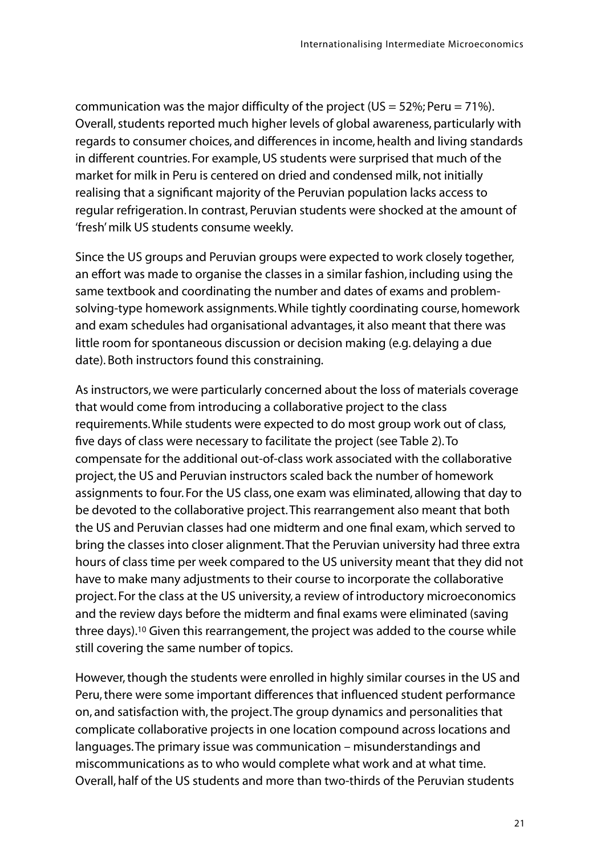communication was the major difficulty of the project (US =  $52\%$ ; Peru =  $71\%$ ). Overall, students reported much higher levels of global awareness, particularly with regards to consumer choices, and differences in income, health and living standards in different countries. For example, US students were surprised that much of the market for milk in Peru is centered on dried and condensed milk, not initially realising that a significant majority of the Peruvian population lacks access to regular refrigeration. In contrast, Peruvian students were shocked at the amount of 'fresh' milk US students consume weekly.

Since the US groups and Peruvian groups were expected to work closely together, an effort was made to organise the classes in a similar fashion, including using the same textbook and coordinating the number and dates of exams and problemsolving-type homework assignments.While tightly coordinating course, homework and exam schedules had organisational advantages, it also meant that there was little room for spontaneous discussion or decision making (e.g. delaying a due date). Both instructors found this constraining.

As instructors, we were particularly concerned about the loss of materials coverage that would come from introducing a collaborative project to the class requirements.While students were expected to do most group work out of class, five days of class were necessary to facilitate the project (see Table 2).To compensate for the additional out-of-class work associated with the collaborative project, the US and Peruvian instructors scaled back the number of homework assignments to four. For the US class, one exam was eliminated, allowing that day to be devoted to the collaborative project.This rearrangement also meant that both the US and Peruvian classes had one midterm and one final exam, which served to bring the classes into closer alignment.That the Peruvian university had three extra hours of class time per week compared to the US university meant that they did not have to make many adjustments to their course to incorporate the collaborative project. For the class at the US university, a review of introductory microeconomics and the review days before the midterm and final exams were eliminated (saving three days).10 Given this rearrangement, the project was added to the course while still covering the same number of topics.

However, though the students were enrolled in highly similar courses in the US and Peru, there were some important differences that influenced student performance on, and satisfaction with, the project.The group dynamics and personalities that complicate collaborative projects in one location compound across locations and languages.The primary issue was communication – misunderstandings and miscommunications as to who would complete what work and at what time. Overall, half of the US students and more than two-thirds of the Peruvian students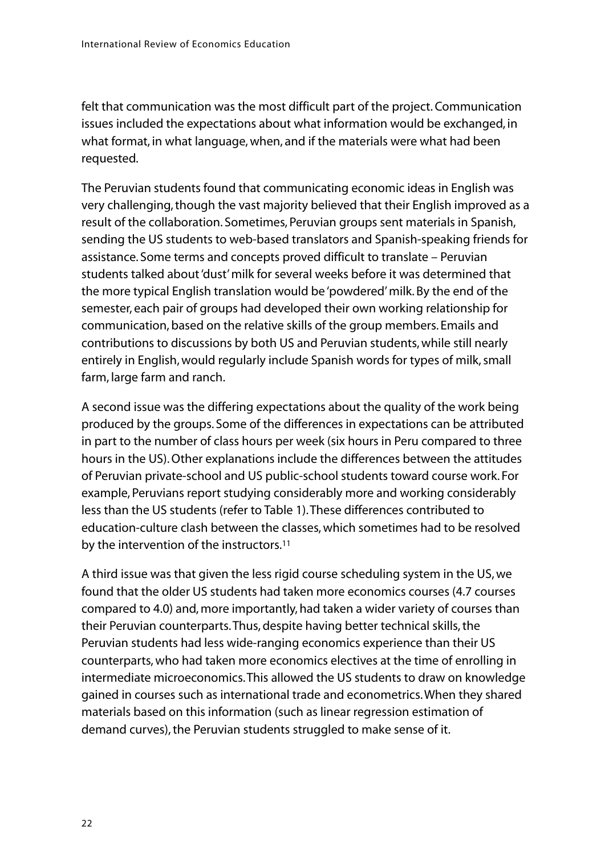felt that communication was the most difficult part of the project. Communication issues included the expectations about what information would be exchanged, in what format, in what language, when, and if the materials were what had been requested.

The Peruvian students found that communicating economic ideas in English was very challenging, though the vast majority believed that their English improved as a result of the collaboration. Sometimes, Peruvian groups sent materials in Spanish, sending the US students to web-based translators and Spanish-speaking friends for assistance. Some terms and concepts proved difficult to translate – Peruvian students talked about 'dust' milk for several weeks before it was determined that the more typical English translation would be 'powdered' milk. By the end of the semester, each pair of groups had developed their own working relationship for communication, based on the relative skills of the group members. Emails and contributions to discussions by both US and Peruvian students, while still nearly entirely in English, would regularly include Spanish words for types of milk, small farm, large farm and ranch.

A second issue was the differing expectations about the quality of the work being produced by the groups. Some of the differences in expectations can be attributed in part to the number of class hours per week (six hours in Peru compared to three hours in the US). Other explanations include the differences between the attitudes of Peruvian private-school and US public-school students toward course work. For example, Peruvians report studying considerably more and working considerably less than the US students (refer to Table 1).These differences contributed to education-culture clash between the classes, which sometimes had to be resolved by the intervention of the instructors.<sup>11</sup>

A third issue was that given the less rigid course scheduling system in the US, we found that the older US students had taken more economics courses (4.7 courses compared to 4.0) and, more importantly, had taken a wider variety of courses than their Peruvian counterparts.Thus, despite having better technical skills, the Peruvian students had less wide-ranging economics experience than their US counterparts, who had taken more economics electives at the time of enrolling in intermediate microeconomics.This allowed the US students to draw on knowledge gained in courses such as international trade and econometrics.When they shared materials based on this information (such as linear regression estimation of demand curves), the Peruvian students struggled to make sense of it.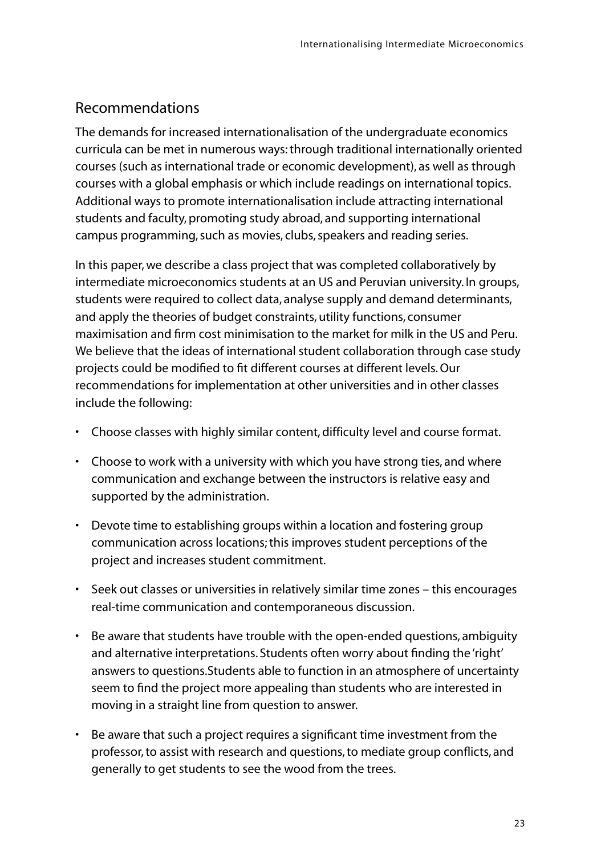# Recommendations

The demands for increased internationalisation of the undergraduate economics curricula can be met in numerous ways: through traditional internationally oriented courses (such as international trade or economic development), as well as through courses with a global emphasis or which include readings on international topics. Additional ways to promote internationalisation include attracting international students and faculty, promoting study abroad, and supporting international campus programming, such as movies, clubs, speakers and reading series.

In this paper, we describe a class project that was completed collaboratively by intermediate microeconomics students at an US and Peruvian university. In groups, students were required to collect data, analyse supply and demand determinants, and apply the theories of budget constraints, utility functions, consumer maximisation and firm cost minimisation to the market for milk in the US and Peru. We believe that the ideas of international student collaboration through case study projects could be modified to fit different courses at different levels. Our recommendations for implementation at other universities and in other classes include the following:

- Choose classes with highly similar content, difficulty level and course format.
- Choose to work with a university with which you have strong ties, and where communication and exchange between the instructors is relative easy and supported by the administration.
- Devote time to establishing groups within a location and fostering group communication across locations; this improves student perceptions of the project and increases student commitment.
- Seek out classes or universities in relatively similar time zones this encourages real-time communication and contemporaneous discussion.
- Be aware that students have trouble with the open-ended questions, ambiguity and alternative interpretations. Students often worry about finding the 'right' answers to questions.Students able to function in an atmosphere of uncertainty seem to find the project more appealing than students who are interested in moving in a straight line from question to answer.
- Be aware that such a project requires a significant time investment from the professor, to assist with research and questions, to mediate group conflicts, and generally to get students to see the wood from the trees.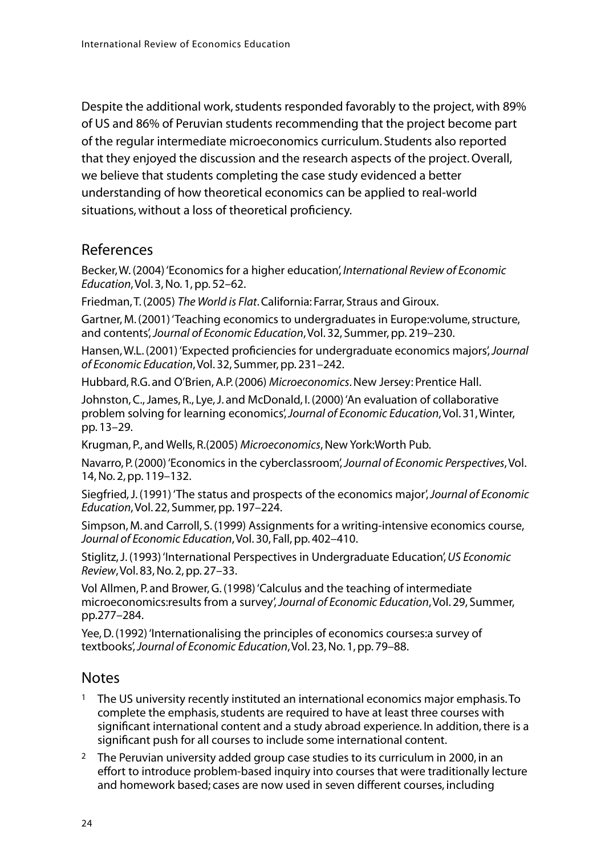Despite the additional work, students responded favorably to the project, with 89% of US and 86% of Peruvian students recommending that the project become part of the regular intermediate microeconomics curriculum. Students also reported that they enjoyed the discussion and the research aspects of the project. Overall, we believe that students completing the case study evidenced a better understanding of how theoretical economics can be applied to real-world situations, without a loss of theoretical proficiency.

#### References

Becker, W. (2004) 'Economics for a higher education', *International Review of Economic Education*,Vol. 3, No. 1, pp. 52–62.

Friedman,T. (2005) *The World is Flat*. California: Farrar, Straus and Giroux.

Gartner, M. (2001) 'Teaching economics to undergraduates in Europe:volume, structure, and contents',*Journal of Economic Education*,Vol. 32, Summer, pp. 219–230.

Hansen,W.L.(2001) 'Expected proficiencies for undergraduate economics majors',*Journal of Economic Education*, Vol. 32, Summer, pp. 231–242.

Hubbard, R.G. and O'Brien, A.P. (2006) *Microeconomics*. New Jersey: Prentice Hall.

Johnston, C., James, R., Lye, J. and McDonald, I. (2000) 'An evaluation of collaborative problem solving for learning economics',*Journal of Economic Education*, Vol. 31, Winter, pp. 13–29.

Krugman, P., and Wells, R.(2005) *Microeconomics*, New York:Worth Pub.

Navarro, P. (2000) 'Economics in the cyberclassroom',*Journal of Economic Perspectives*, Vol. 14, No. 2, pp. 119–132.

Siegfried, J. (1991) 'The status and prospects of the economics major',*Journal of Economic Education*, Vol. 22, Summer, pp. 197–224.

Simpson, M. and Carroll, S. (1999) Assignments for a writing-intensive economics course, *Journal of Economic Education*, Vol. 30, Fall, pp. 402–410.

Stiglitz, J. (1993) 'International Perspectives in Undergraduate Education',*US Economic Review*,Vol. 83,No. 2, pp. 27–33.

Vol Allmen, P. and Brower, G. (1998) 'Calculus and the teaching of intermediate microeconomics:results from a survey',*Journal of Economic Education*, Vol. 29, Summer, pp.277–284.

Yee, D. (1992) 'Internationalising the principles of economics courses:a survey of textbooks',*Journal of Economic Education*, Vol. 23, No. 1, pp. 79–88.

#### Notes

- 1 The US university recently instituted an international economics major emphasis.To complete the emphasis, students are required to have at least three courses with significant international content and a study abroad experience. In addition, there is a significant push for all courses to include some international content.
- 2 The Peruvian university added group case studies to its curriculum in 2000, in an effort to introduce problem-based inquiry into courses that were traditionally lecture and homework based; cases are now used in seven different courses, including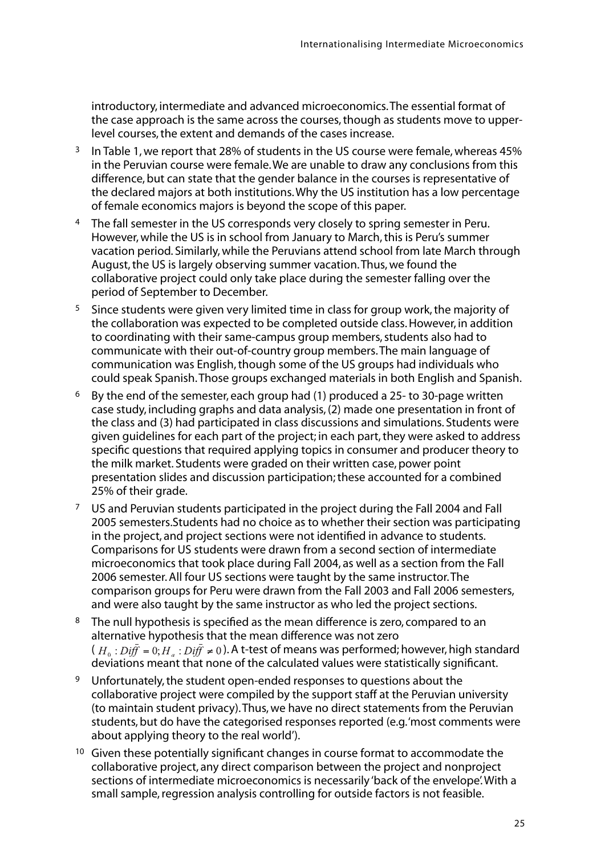introductory, intermediate and advanced microeconomics.The essential format of the case approach is the same across the courses, though as students move to upperlevel courses, the extent and demands of the cases increase.

- 3 In Table 1, we report that 28% of students in the US course were female, whereas 45% in the Peruvian course were female.We are unable to draw any conclusions from this difference, but can state that the gender balance in the courses is representative of the declared majors at both institutions.Why the US institution has a low percentage of female economics majors is beyond the scope of this paper.
- 4 The fall semester in the US corresponds very closely to spring semester in Peru. However, while the US is in school from January to March, this is Peru's summer vacation period. Similarly, while the Peruvians attend school from late March through August, the US is largely observing summer vacation.Thus, we found the collaborative project could only take place during the semester falling over the period of September to December.
- <sup>5</sup> Since students were given very limited time in class for group work, the majority of the collaboration was expected to be completed outside class. However, in addition to coordinating with their same-campus group members, students also had to communicate with their out-of-country group members.The main language of communication was English, though some of the US groups had individuals who could speak Spanish.Those groups exchanged materials in both English and Spanish.
- 6 By the end of the semester, each group had (1) produced a 25- to 30-page written case study, including graphs and data analysis, (2) made one presentation in front of the class and (3) had participated in class discussions and simulations. Students were given guidelines for each part of the project; in each part, they were asked to address specific questions that required applying topics in consumer and producer theory to the milk market. Students were graded on their written case, power point presentation slides and discussion participation; these accounted for a combined 25% of their grade.
- $7$  US and Peruvian students participated in the project during the Fall 2004 and Fall 2005 semesters.Students had no choice as to whether their section was participating in the project, and project sections were not identified in advance to students. Comparisons for US students were drawn from a second section of intermediate microeconomics that took place during Fall 2004, as well as a section from the Fall 2006 semester. All four US sections were taught by the same instructor.The comparison groups for Peru were drawn from the Fall 2003 and Fall 2006 semesters, and were also taught by the same instructor as who led the project sections.
- 8 The null hypothesis is specified as the mean difference is zero, compared to an alternative hypothesis that the mean difference was not zero  $(H_0: D \tilde{f} = 0; H_a: D \tilde{f} \neq 0$ . A t-test of means was performed; however, high standard deviations meant that none of the calculated values were statistically significant.
- 9 Unfortunately, the student open-ended responses to questions about the collaborative project were compiled by the support staff at the Peruvian university (to maintain student privacy).Thus, we have no direct statements from the Peruvian students, but do have the categorised responses reported (e.g.'most comments were about applying theory to the real world').
- 10 Given these potentially significant changes in course format to accommodate the collaborative project, any direct comparison between the project and nonproject sections of intermediate microeconomics is necessarily 'back of the envelope'.With a small sample, regression analysis controlling for outside factors is not feasible.